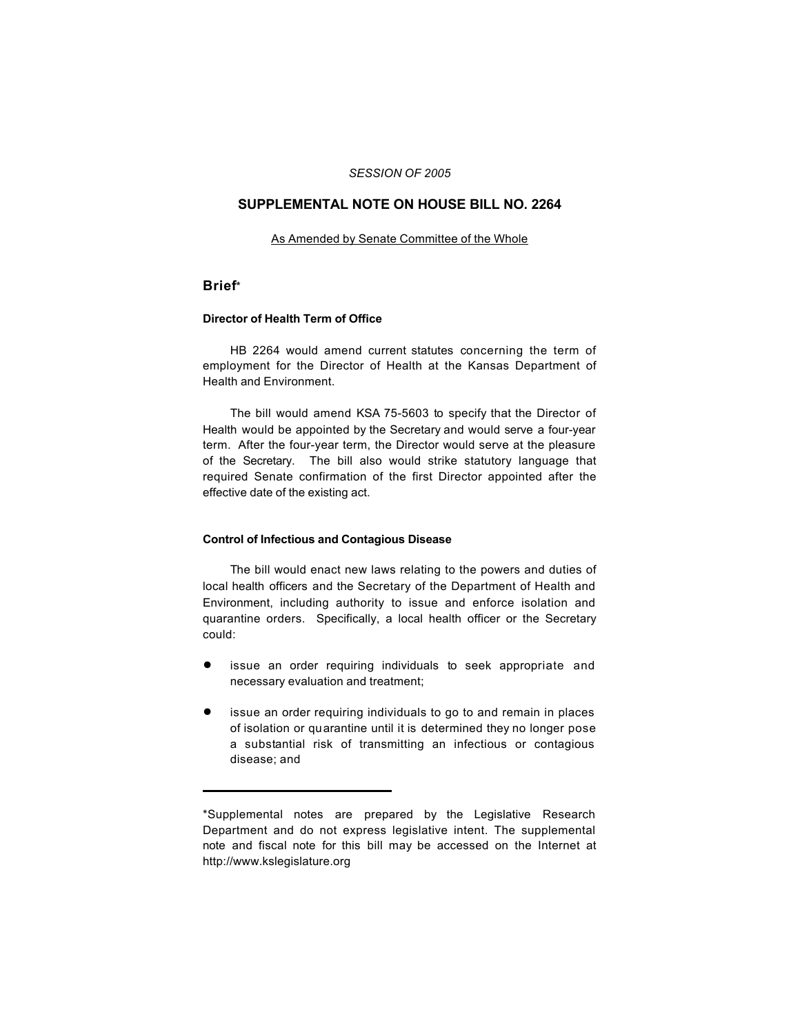## *SESSION OF 2005*

# **SUPPLEMENTAL NOTE ON HOUSE BILL NO. 2264**

### As Amended by Senate Committee of the Whole

## **Brief**\*

#### **Director of Health Term of Office**

HB 2264 would amend current statutes concerning the term of employment for the Director of Health at the Kansas Department of Health and Environment.

The bill would amend KSA 75-5603 to specify that the Director of Health would be appointed by the Secretary and would serve a four-year term. After the four-year term, the Director would serve at the pleasure of the Secretary. The bill also would strike statutory language that required Senate confirmation of the first Director appointed after the effective date of the existing act.

## **Control of Infectious and Contagious Disease**

The bill would enact new laws relating to the powers and duties of local health officers and the Secretary of the Department of Health and Environment, including authority to issue and enforce isolation and quarantine orders. Specifically, a local health officer or the Secretary could:

- issue an order requiring individuals to seek appropriate and necessary evaluation and treatment;
- ! issue an order requiring individuals to go to and remain in places of isolation or quarantine until it is determined they no longer pose a substantial risk of transmitting an infectious or contagious disease; and

<sup>\*</sup>Supplemental notes are prepared by the Legislative Research Department and do not express legislative intent. The supplemental note and fiscal note for this bill may be accessed on the Internet at http://www.kslegislature.org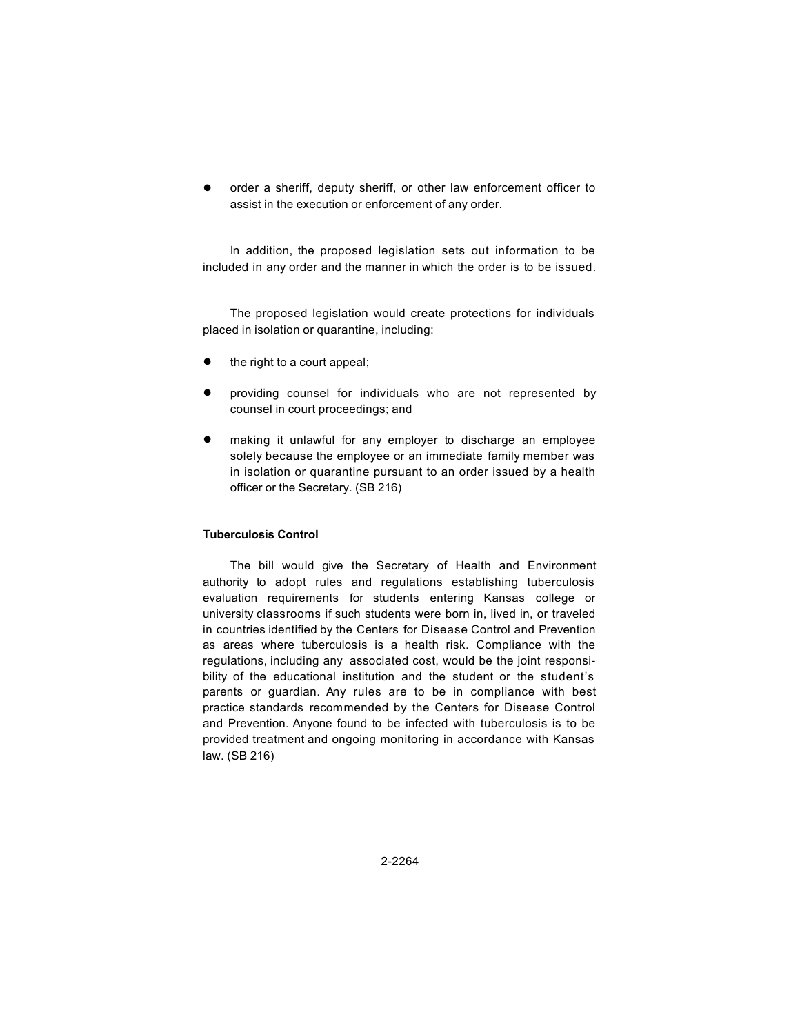order a sheriff, deputy sheriff, or other law enforcement officer to assist in the execution or enforcement of any order.

In addition, the proposed legislation sets out information to be included in any order and the manner in which the order is to be issued.

The proposed legislation would create protections for individuals placed in isolation or quarantine, including:

- the right to a court appeal;
- ! providing counsel for individuals who are not represented by counsel in court proceedings; and
- **•** making it unlawful for any employer to discharge an employee solely because the employee or an immediate family member was in isolation or quarantine pursuant to an order issued by a health officer or the Secretary. (SB 216)

#### **Tuberculosis Control**

The bill would give the Secretary of Health and Environment authority to adopt rules and regulations establishing tuberculosis evaluation requirements for students entering Kansas college or university classrooms if such students were born in, lived in, or traveled in countries identified by the Centers for Disease Control and Prevention as areas where tuberculosis is a health risk. Compliance with the regulations, including any associated cost, would be the joint responsibility of the educational institution and the student or the student's parents or guardian. Any rules are to be in compliance with best practice standards recommended by the Centers for Disease Control and Prevention. Anyone found to be infected with tuberculosis is to be provided treatment and ongoing monitoring in accordance with Kansas law. (SB 216)